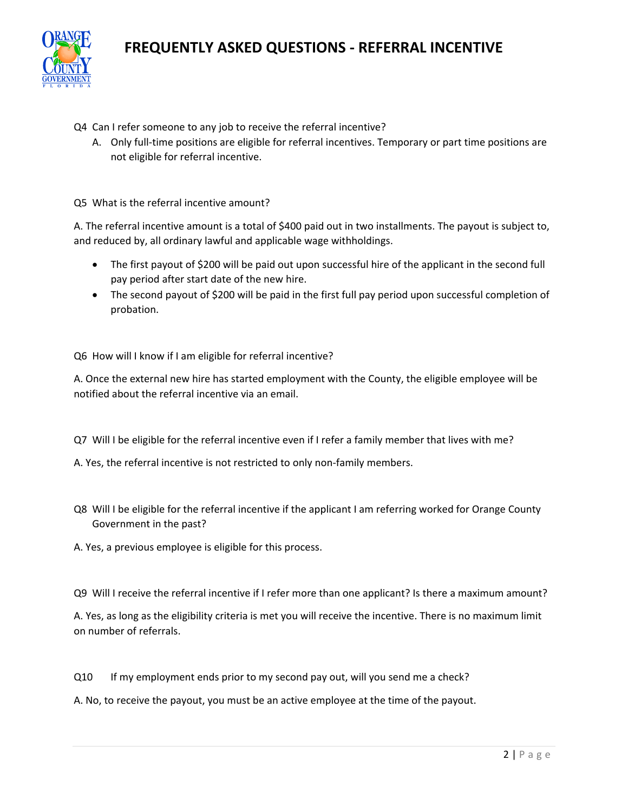# **FREQUENTLY ASKED QUESTIONS - REFERRAL INCENTIVE**



- Q4 Can I refer someone to any job to receive the referral incentive?
	- A. Only full-time positions are eligible for referral incentives. Temporary or part time positions are not eligible for referral incentive.

Q5 What is the referral incentive amount?

A. The referral incentive amount is a total of \$400 paid out in two installments. The payout is subject to, and reduced by, all ordinary lawful and applicable wage withholdings.

- The first payout of \$200 will be paid out upon successful hire of the applicant in the second full pay period after start date of the new hire.
- The second payout of \$200 will be paid in the first full pay period upon successful completion of probation.

Q6 How will I know if I am eligible for referral incentive?

A. Once the external new hire has started employment with the County, the eligible employee will be notified about the referral incentive via an email.

- Q7 Will I be eligible for the referral incentive even if I refer a family member that lives with me?
- A. Yes, the referral incentive is not restricted to only non-family members.
- Q8 Will I be eligible for the referral incentive if the applicant I am referring worked for Orange County Government in the past?
- A. Yes, a previous employee is eligible for this process.

Q9 Will I receive the referral incentive if I refer more than one applicant? Is there a maximum amount?

A. Yes, as long as the eligibility criteria is met you will receive the incentive. There is no maximum limit on number of referrals.

- Q10 If my employment ends prior to my second pay out, will you send me a check?
- A. No, to receive the payout, you must be an active employee at the time of the payout.